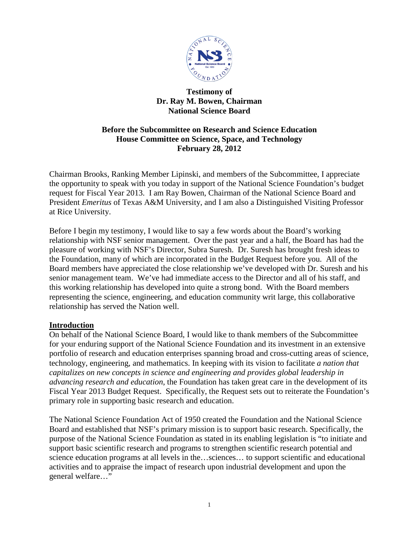

## **Testimony of Dr. Ray M. Bowen, Chairman National Science Board**

# **Before the Subcommittee on Research and Science Education House Committee on Science, Space, and Technology February 28, 2012**

Chairman Brooks, Ranking Member Lipinski, and members of the Subcommittee, I appreciate the opportunity to speak with you today in support of the National Science Foundation's budget request for Fiscal Year 2013. I am Ray Bowen, Chairman of the National Science Board and President *Emeritus* of Texas A&M University, and I am also a Distinguished Visiting Professor at Rice University.

Before I begin my testimony, I would like to say a few words about the Board's working relationship with NSF senior management. Over the past year and a half, the Board has had the pleasure of working with NSF's Director, Subra Suresh. Dr. Suresh has brought fresh ideas to the Foundation, many of which are incorporated in the Budget Request before you. All of the Board members have appreciated the close relationship we've developed with Dr. Suresh and his senior management team. We've had immediate access to the Director and all of his staff, and this working relationship has developed into quite a strong bond. With the Board members representing the science, engineering, and education community writ large, this collaborative relationship has served the Nation well.

## **Introduction**

On behalf of the National Science Board, I would like to thank members of the Subcommittee for your enduring support of the National Science Foundation and its investment in an extensive portfolio of research and education enterprises spanning broad and cross-cutting areas of science, technology, engineering, and mathematics. In keeping with its vision to facilitate *a nation that capitalizes on new concepts in science and engineering and provides global leadership in advancing research and education*, the Foundation has taken great care in the development of its Fiscal Year 2013 Budget Request. Specifically, the Request sets out to reiterate the Foundation's primary role in supporting basic research and education.

The National Science Foundation Act of 1950 created the Foundation and the National Science Board and established that NSF's primary mission is to support basic research. Specifically, the purpose of the National Science Foundation as stated in its enabling legislation is "to initiate and support basic scientific research and programs to strengthen scientific research potential and science education programs at all levels in the…sciences… to support scientific and educational activities and to appraise the impact of research upon industrial development and upon the general welfare…"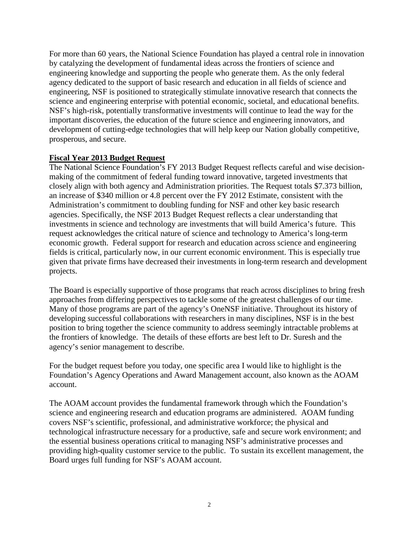For more than 60 years, the National Science Foundation has played a central role in innovation by catalyzing the development of fundamental ideas across the frontiers of science and engineering knowledge and supporting the people who generate them. As the only federal agency dedicated to the support of basic research and education in all fields of science and engineering, NSF is positioned to strategically stimulate innovative research that connects the science and engineering enterprise with potential economic, societal, and educational benefits. NSF's high-risk, potentially transformative investments will continue to lead the way for the important discoveries, the education of the future science and engineering innovators, and development of cutting-edge technologies that will help keep our Nation globally competitive, prosperous, and secure.

## **Fiscal Year 2013 Budget Request**

The National Science Foundation's FY 2013 Budget Request reflects careful and wise decisionmaking of the commitment of federal funding toward innovative, targeted investments that closely align with both agency and Administration priorities. The Request totals \$7.373 billion, an increase of \$340 million or 4.8 percent over the FY 2012 Estimate, consistent with the Administration's commitment to doubling funding for NSF and other key basic research agencies. Specifically, the NSF 2013 Budget Request reflects a clear understanding that investments in science and technology are investments that will build America's future. This request acknowledges the critical nature of science and technology to America's long-term economic growth. Federal support for research and education across science and engineering fields is critical, particularly now, in our current economic environment. This is especially true given that private firms have decreased their investments in long-term research and development projects.

The Board is especially supportive of those programs that reach across disciplines to bring fresh approaches from differing perspectives to tackle some of the greatest challenges of our time. Many of those programs are part of the agency's OneNSF initiative. Throughout its history of developing successful collaborations with researchers in many disciplines, NSF is in the best position to bring together the science community to address seemingly intractable problems at the frontiers of knowledge. The details of these efforts are best left to Dr. Suresh and the agency's senior management to describe.

For the budget request before you today, one specific area I would like to highlight is the Foundation's Agency Operations and Award Management account, also known as the AOAM account.

The AOAM account provides the fundamental framework through which the Foundation's science and engineering research and education programs are administered. AOAM funding covers NSF's scientific, professional, and administrative workforce; the physical and technological infrastructure necessary for a productive, safe and secure work environment; and the essential business operations critical to managing NSF's administrative processes and providing high-quality customer service to the public. To sustain its excellent management, the Board urges full funding for NSF's AOAM account.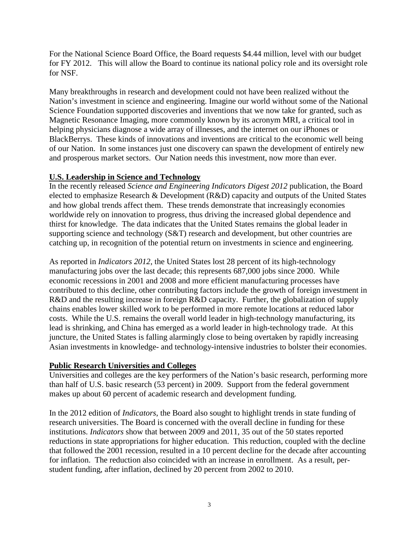For the National Science Board Office, the Board requests \$4.44 million, level with our budget for FY 2012. This will allow the Board to continue its national policy role and its oversight role for NSF.

Many breakthroughs in research and development could not have been realized without the Nation's investment in science and engineering. Imagine our world without some of the National Science Foundation supported discoveries and inventions that we now take for granted, such as Magnetic Resonance Imaging, more commonly known by its acronym MRI, a critical tool in helping physicians diagnose a wide array of illnesses, and the internet on our iPhones or BlackBerrys. These kinds of innovations and inventions are critical to the economic well being of our Nation. In some instances just one discovery can spawn the development of entirely new and prosperous market sectors. Our Nation needs this investment, now more than ever.

## **U.S. Leadership in Science and Technology**

In the recently released *Science and Engineering Indicators Digest 2012* publication, the Board elected to emphasize Research & Development (R&D) capacity and outputs of the United States and how global trends affect them. These trends demonstrate that increasingly economies worldwide rely on innovation to progress, thus driving the increased global dependence and thirst for knowledge. The data indicates that the United States remains the global leader in supporting science and technology (S&T) research and development, but other countries are catching up, in recognition of the potential return on investments in science and engineering.

As reported in *Indicators 2012*, the United States lost 28 percent of its high-technology manufacturing jobs over the last decade; this represents 687,000 jobs since 2000. While economic recessions in 2001 and 2008 and more efficient manufacturing processes have contributed to this decline, other contributing factors include the growth of foreign investment in R&D and the resulting increase in foreign R&D capacity. Further, the globalization of supply chains enables lower skilled work to be performed in more remote locations at reduced labor costs. While the U.S. remains the overall world leader in high-technology manufacturing, its lead is shrinking, and China has emerged as a world leader in high-technology trade. At this juncture, the United States is falling alarmingly close to being overtaken by rapidly increasing Asian investments in knowledge- and technology-intensive industries to bolster their economies.

### **Public Research Universities and Colleges**

Universities and colleges are the key performers of the Nation's basic research, performing more than half of U.S. basic research (53 percent) in 2009. Support from the federal government makes up about 60 percent of academic research and development funding.

In the 2012 edition of *Indicators*, the Board also sought to highlight trends in state funding of research universities. The Board is concerned with the overall decline in funding for these institutions. *Indicators* show that between 2009 and 2011, 35 out of the 50 states reported reductions in state appropriations for higher education. This reduction, coupled with the decline that followed the 2001 recession, resulted in a 10 percent decline for the decade after accounting for inflation. The reduction also coincided with an increase in enrollment. As a result, perstudent funding, after inflation, declined by 20 percent from 2002 to 2010.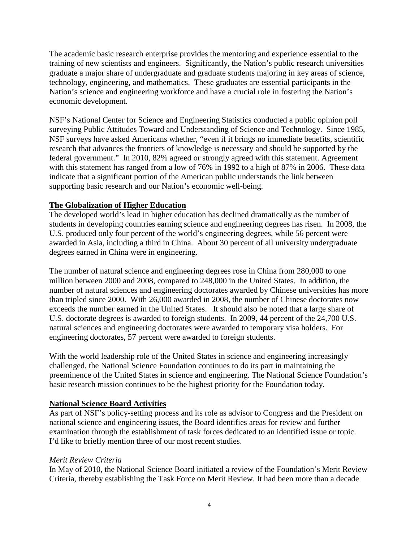The academic basic research enterprise provides the mentoring and experience essential to the training of new scientists and engineers. Significantly, the Nation's public research universities graduate a major share of undergraduate and graduate students majoring in key areas of science, technology, engineering, and mathematics. These graduates are essential participants in the Nation's science and engineering workforce and have a crucial role in fostering the Nation's economic development.

NSF's National Center for Science and Engineering Statistics conducted a public opinion poll surveying Public Attitudes Toward and Understanding of Science and Technology. Since 1985, NSF surveys have asked Americans whether, "even if it brings no immediate benefits, scientific research that advances the frontiers of knowledge is necessary and should be supported by the federal government." In 2010, 82% agreed or strongly agreed with this statement. Agreement with this statement has ranged from a low of 76% in 1992 to a high of 87% in 2006. These data indicate that a significant portion of the American public understands the link between supporting basic research and our Nation's economic well-being.

## **The Globalization of Higher Education**

The developed world's lead in higher education has declined dramatically as the number of students in developing countries earning science and engineering degrees has risen. In 2008, the U.S. produced only four percent of the world's engineering degrees, while 56 percent were awarded in Asia, including a third in China. About 30 percent of all university undergraduate degrees earned in China were in engineering.

The number of natural science and engineering degrees rose in China from 280,000 to one million between 2000 and 2008, compared to 248,000 in the United States. In addition, the number of natural sciences and engineering doctorates awarded by Chinese universities has more than tripled since 2000. With 26,000 awarded in 2008, the number of Chinese doctorates now exceeds the number earned in the United States. It should also be noted that a large share of U.S. doctorate degrees is awarded to foreign students. In 2009, 44 percent of the 24,700 U.S. natural sciences and engineering doctorates were awarded to temporary visa holders. For engineering doctorates, 57 percent were awarded to foreign students.

With the world leadership role of the United States in science and engineering increasingly challenged, the National Science Foundation continues to do its part in maintaining the preeminence of the United States in science and engineering. The National Science Foundation's basic research mission continues to be the highest priority for the Foundation today.

## **National Science Board Activities**

As part of NSF's policy-setting process and its role as advisor to Congress and the President on national science and engineering issues, the Board identifies areas for review and further examination through the establishment of task forces dedicated to an identified issue or topic. I'd like to briefly mention three of our most recent studies.

### *Merit Review Criteria*

In May of 2010, the National Science Board initiated a review of the Foundation's Merit Review Criteria, thereby establishing the Task Force on Merit Review. It had been more than a decade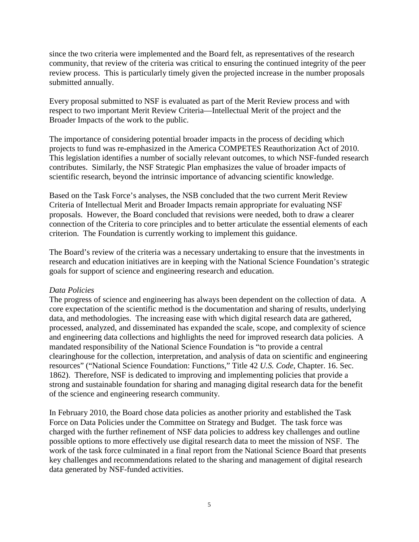since the two criteria were implemented and the Board felt, as representatives of the research community, that review of the criteria was critical to ensuring the continued integrity of the peer review process. This is particularly timely given the projected increase in the number proposals submitted annually.

Every proposal submitted to NSF is evaluated as part of the Merit Review process and with respect to two important Merit Review Criteria—Intellectual Merit of the project and the Broader Impacts of the work to the public.

The importance of considering potential broader impacts in the process of deciding which projects to fund was re-emphasized in the America COMPETES Reauthorization Act of 2010. This legislation identifies a number of socially relevant outcomes, to which NSF-funded research contributes. Similarly, the NSF Strategic Plan emphasizes the value of broader impacts of scientific research, beyond the intrinsic importance of advancing scientific knowledge.

Based on the Task Force's analyses, the NSB concluded that the two current Merit Review Criteria of Intellectual Merit and Broader Impacts remain appropriate for evaluating NSF proposals. However, the Board concluded that revisions were needed, both to draw a clearer connection of the Criteria to core principles and to better articulate the essential elements of each criterion. The Foundation is currently working to implement this guidance.

The Board's review of the criteria was a necessary undertaking to ensure that the investments in research and education initiatives are in keeping with the National Science Foundation's strategic goals for support of science and engineering research and education.

### *Data Policies*

The progress of science and engineering has always been dependent on the collection of data. A core expectation of the scientific method is the documentation and sharing of results, underlying data, and methodologies. The increasing ease with which digital research data are gathered, processed, analyzed, and disseminated has expanded the scale, scope, and complexity of science and engineering data collections and highlights the need for improved research data policies. A mandated responsibility of the National Science Foundation is "to provide a central clearinghouse for the collection, interpretation, and analysis of data on scientific and engineering resources" ("National Science Foundation: Functions," Title 42 *U.S. Code*, Chapter. 16. Sec. 1862). Therefore, NSF is dedicated to improving and implementing policies that provide a strong and sustainable foundation for sharing and managing digital research data for the benefit of the science and engineering research community.

In February 2010, the Board chose data policies as another priority and established the Task Force on Data Policies under the Committee on Strategy and Budget. The task force was charged with the further refinement of NSF data policies to address key challenges and outline possible options to more effectively use digital research data to meet the mission of NSF. The work of the task force culminated in a final report from the National Science Board that presents key challenges and recommendations related to the sharing and management of digital research data generated by NSF-funded activities.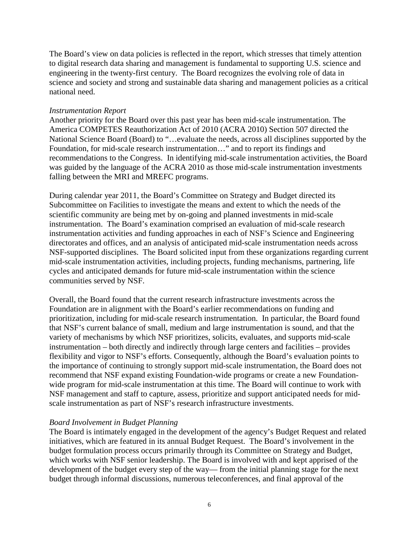The Board's view on data policies is reflected in the report, which stresses that timely attention to digital research data sharing and management is fundamental to supporting U.S. science and engineering in the twenty-first century. The Board recognizes the evolving role of data in science and society and strong and sustainable data sharing and management policies as a critical national need.

#### *Instrumentation Report*

Another priority for the Board over this past year has been mid-scale instrumentation. The America COMPETES Reauthorization Act of 2010 (ACRA 2010) Section 507 directed the National Science Board (Board) to "…evaluate the needs, across all disciplines supported by the Foundation, for mid-scale research instrumentation…" and to report its findings and recommendations to the Congress. In identifying mid-scale instrumentation activities, the Board was guided by the language of the ACRA 2010 as those mid-scale instrumentation investments falling between the MRI and MREFC programs.

During calendar year 2011, the Board's Committee on Strategy and Budget directed its Subcommittee on Facilities to investigate the means and extent to which the needs of the scientific community are being met by on-going and planned investments in mid-scale instrumentation. The Board's examination comprised an evaluation of mid-scale research instrumentation activities and funding approaches in each of NSF's Science and Engineering directorates and offices, and an analysis of anticipated mid-scale instrumentation needs across NSF-supported disciplines. The Board solicited input from these organizations regarding current mid-scale instrumentation activities, including projects, funding mechanisms, partnering, life cycles and anticipated demands for future mid-scale instrumentation within the science communities served by NSF.

Overall, the Board found that the current research infrastructure investments across the Foundation are in alignment with the Board's earlier recommendations on funding and prioritization, including for mid-scale research instrumentation. In particular, the Board found that NSF's current balance of small, medium and large instrumentation is sound, and that the variety of mechanisms by which NSF prioritizes, solicits, evaluates, and supports mid-scale instrumentation – both directly and indirectly through large centers and facilities – provides flexibility and vigor to NSF's efforts. Consequently, although the Board's evaluation points to the importance of continuing to strongly support mid-scale instrumentation, the Board does not recommend that NSF expand existing Foundation-wide programs or create a new Foundationwide program for mid-scale instrumentation at this time. The Board will continue to work with NSF management and staff to capture, assess, prioritize and support anticipated needs for midscale instrumentation as part of NSF's research infrastructure investments.

### *Board Involvement in Budget Planning*

The Board is intimately engaged in the development of the agency's Budget Request and related initiatives, which are featured in its annual Budget Request. The Board's involvement in the budget formulation process occurs primarily through its Committee on Strategy and Budget, which works with NSF senior leadership. The Board is involved with and kept apprised of the development of the budget every step of the way— from the initial planning stage for the next budget through informal discussions, numerous teleconferences, and final approval of the